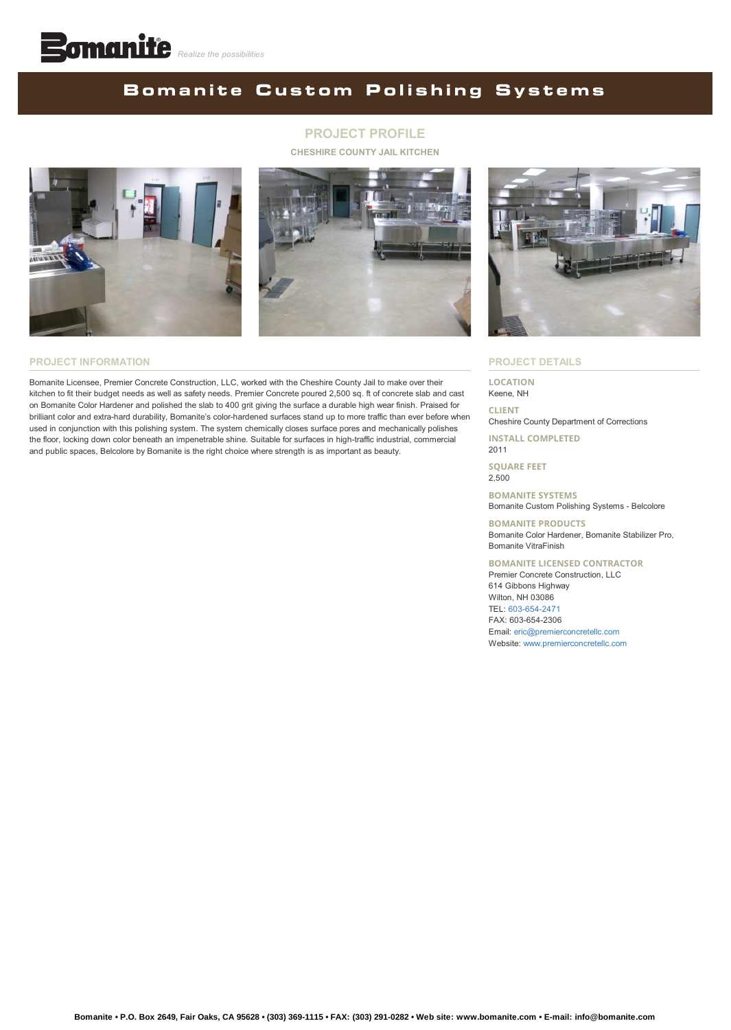## **BomaniteCustom Polishing Systems**

### **PROJECT PROFILE**

**CHESHIRE COUNTY JAIL KITCHEN**





#### **PROJECT INFORMATION**

Bomanite Licensee, Premier Concrete Construction, LLC, worked with the Cheshire County Jail to make over their kitchen to fit their budget needs as well as safety needs. Premier Concrete poured 2,500 sq. ft of concrete slab and cast on Bomanite Color Hardener and polished the slab to 400 grit giving the surface a durable high wear finish. Praised for brilliant color and extra-hard durability, Bomanite's color-hardened surfaces stand up to more traffic than ever before when used in conjunction with this polishing system. The system chemically closes surface pores and mechanically polishes the floor, locking down color beneath an impenetrable shine. Suitable for surfaces in high-traffic industrial, commercial and public spaces, Belcolore by Bomanite is the right choice where strength is as important as beauty.



#### **PROJECT DETAILS**

**LOCATION** Keene, NH

**CLIENT** Cheshire County Department of Corrections

**INSTALL COMPLETED** 2011

**SQUARE FEET** 2,500

**BOMANITE SYSTEMS** Bomanite Custom Polishing Systems - Belcolore

**BOMANITE PRODUCTS** Bomanite Color Hardener, Bomanite Stabilizer Pro, Bomanite VitraFinish

**BOMANITE LICENSED CONTRACTOR**

Premier Concrete Construction, LLC 614 Gibbons Highway Wilton, NH 03086 TEL: [603-654-2471](tel:1-603-654-2471) FAX: 603-654-2306 Email: [eric@premierconcretellc.com](mailto:eric@premierconcretellc.com?cc=info@bomanite.com&subject=I%20Need%20More%20Info%20About%20Project%20Profile:%20Cheshire%20County%20Jail%20Kitchen) Website: [www.premierconcretellc.com](http://www.premierconcretellc.com/)